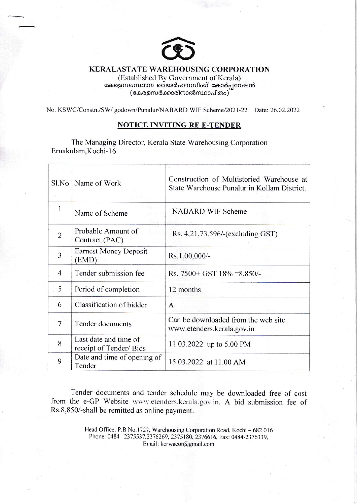

## KERALASTATE WAREHOUSING CORPORATION

(Established By Government of Kerala) കേരളസംസ്ഥാന വെയർഹൗസിംഗ് കോർപ്പറേഷൻ  $\left($ കേരളസർക്കാരിനാൽസ്ഥാപിതം $\right)^{2}$ 

No. KSWC/Constn./SW/ godown/Punalur/NABARD WIF Scheme/2021-22 Date: 26.02.2022

## NOTICE INVITING RE E-TENDER

The Managing Director. Kerala State Warehousing Corporation Emakulam.Kochi-16.

| Sl.No          | Name of Work                                    | Construction of Multistoried Warehouse at<br>State Warehouse Punalur in Kollam District. |  |  |
|----------------|-------------------------------------------------|------------------------------------------------------------------------------------------|--|--|
|                | Name of Scheme                                  | <b>NABARD WIF Scheme</b>                                                                 |  |  |
| $\overline{2}$ | Probable Amount of<br>Contract (PAC)            | Rs. 4,21,73,596/-(excluding GST)                                                         |  |  |
| $\overline{3}$ | <b>Earnest Money Deposit</b><br>(EMD)           | $Rs.1,00,000/$ -                                                                         |  |  |
| $\overline{4}$ | Tender submission fee                           | Rs. $7500 + GST$ 18% = 8,850/-                                                           |  |  |
| 5              | Period of completion                            | 12 months                                                                                |  |  |
| 6              | Classification of bidder                        | A                                                                                        |  |  |
| 7              | Tender documents                                | Can be downloaded from the web site<br>www.etenders.kerala.gov.in                        |  |  |
| 8              | Last date and time of<br>receipt of Tender/Bids | 11.03.2022 up to 5.00 PM                                                                 |  |  |
| 9              | Date and time of opening of<br>Tender           | 15.03.2022 at 11.00 AM                                                                   |  |  |

Tender documents and tender schedule may be downloaded free of cost from the e-GP Website www.etenders.kerala.gov.in. A bid submission fee of Rs.8,850/-shall be remitted as online payment.

> Head Office: P.B No.1727, Warehousing Corporation Road, Kochi - 682016 Phone: 0484 -2375537,2376269, 2375180, 2376616, Fax: 0484-2376339, Email: kerwacor@gmail.com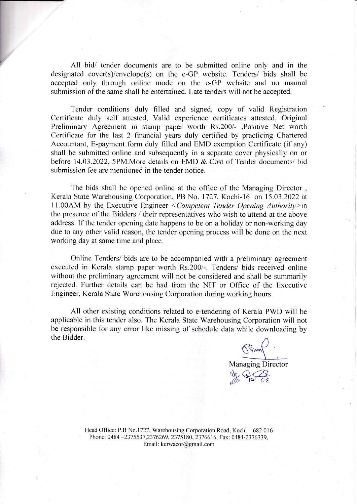All bid/ tender documents are to be submitted online only and in the designated cover(s)/envelope(s) on the e-GP website. Tenders/ bids shall be accepted only through online mode on the e-GP website and no manual submission of the same shall be entertained. Late tenders will not be accepted.

Tender conditions duly filled and signed, copy of valid Registration Certificate duly self attested, Valid experience certificates attested, Original Preliminary Agreement in stamp paper worth Rs.200/- ,Positive Net worth Certificate for the last 2 financial years duly certified by practicing Chartered Accountant, E-payment form duly filled and EMD exemption Certificate (if any) shall be submitted online and subsequently in a separate cover physically on or before 14.03.2022. 5PM.More details on EMD & Cost of Tender documents/ bid submission fee are mentioned in the tender notice.

The bids shall be opened online at the office of the Managing Director , Kerala State Warehousing Corporation. PB No. I727. Kochi-16 on 15.03.2022 at 11.00AM by the Executive Engineer < Competent Tender Opening Authority>in the presence of the Bidders / their representatives who wish to attend at the above address. If the tender opening date happens to be on a holiday or non-working day due to any other valid reason, the tender opening process will be done on the next working day at same time and place.

Online Tenders/ bids are to be accompanied with a preliminary agreement executed in Kerala stamp paper worth Rs.200/-. Tenders/ bids received online without the preliminary agreement will not be considered and shall be summarily rejected. Further details can be had from the NIT or Office of the Executive Engineer, Kerala State Warehousing Corporation during working hours.

All other existing conditions related to e-tendering of Kerala PWD will be applicable in this tender also. The Kerala State Warehousing Corporation will not be responsible for any error like missing of schedule data while downloading by the Bidder.

Managing Director  $\mathbb{R}$ AFINO AVE C.E

Head Office: P.B No.1727, Warehousing Corporation Road, Kochi - 682 016 Phone: 0484-2375537,2376269, 2375180, 2376616, Fax: 0484-2376339. Email: kerwacor@gmail.com